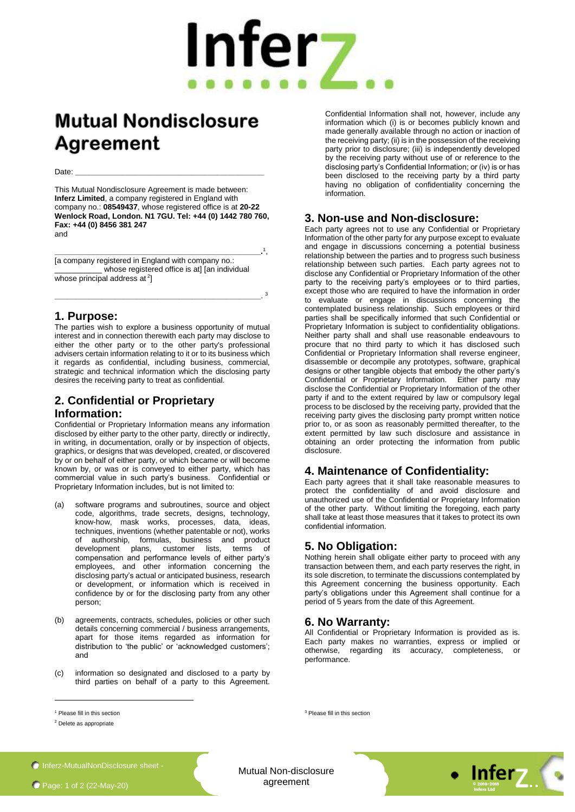# Infer<sub>7</sub>

1 ,

3

## **Mutual Nondisclosure Agreement**

Date: **\_\_\_\_\_\_\_\_\_\_\_\_\_\_\_\_\_\_\_\_\_\_\_\_\_\_\_\_\_\_\_\_\_\_\_\_\_\_\_\_\_\_\_\_**

This Mutual Nondisclosure Agreement is made between: **Inferz Limited**, a company registered in England with company no.: **08549437**, whose registered office is at **20-22 Wenlock Road, London. N1 7GU. Tel: +44 (0) 1442 780 760, Fax: +44 (0) 8456 381 247** and

**\_\_\_\_\_\_\_\_\_\_\_\_\_\_\_\_\_\_\_\_\_\_\_\_\_\_\_\_\_\_\_\_\_\_\_\_\_\_\_\_\_\_\_\_\_\_\_\_.** [a company registered in England with company no.: whose registered office is at] [an individual whose principal address at  $2$ ]

**\_\_\_\_\_\_\_\_\_\_\_\_\_\_\_\_\_\_\_\_\_\_\_\_\_\_\_\_\_\_\_\_\_\_\_\_\_\_\_\_\_\_\_\_\_\_\_\_**.

#### **1. Purpose:**

The parties wish to explore a business opportunity of mutual interest and in connection therewith each party may disclose to either the other party or to the other party's professional advisers certain information relating to it or to its business which it regards as confidential, including business, commercial, strategic and technical information which the disclosing party desires the receiving party to treat as confidential.

### **2. Confidential or Proprietary**

#### **Information:**

Confidential or Proprietary Information means any information disclosed by either party to the other party, directly or indirectly, in writing, in documentation, orally or by inspection of objects, graphics, or designs that was developed, created, or discovered by or on behalf of either party, or which became or will become known by, or was or is conveyed to either party, which has commercial value in such party's business. Confidential or Proprietary Information includes, but is not limited to:

- (a) software programs and subroutines, source and object code, algorithms, trade secrets, designs, technology, know-how, mask works, processes, data, ideas, techniques, inventions (whether patentable or not), works of authorship, formulas, business and product development plans, customer lists, terms of compensation and performance levels of either party's employees, and other information concerning the disclosing party's actual or anticipated business, research or development, or information which is received in confidence by or for the disclosing party from any other person;
- (b) agreements, contracts, schedules, policies or other such details concerning commercial / business arrangements, apart for those items regarded as information for distribution to 'the public' or 'acknowledged customers'; and
- (c) information so designated and disclosed to a party by third parties on behalf of a party to this Agreement.

Confidential Information shall not, however, include any information which (i) is or becomes publicly known and made generally available through no action or inaction of the receiving party; (ii) is in the possession of the receiving party prior to disclosure; (iii) is independently developed by the receiving party without use of or reference to the disclosing party's Confidential Information; or (iv) is or has been disclosed to the receiving party by a third party having no obligation of confidentiality concerning the information.

#### **3. Non-use and Non-disclosure:**

Each party agrees not to use any Confidential or Proprietary Information of the other party for any purpose except to evaluate and engage in discussions concerning a potential business relationship between the parties and to progress such business relationship between such parties. Each party agrees not to disclose any Confidential or Proprietary Information of the other party to the receiving party's employees or to third parties, except those who are required to have the information in order to evaluate or engage in discussions concerning the contemplated business relationship. Such employees or third parties shall be specifically informed that such Confidential or Proprietary Information is subject to confidentiality obligations. Neither party shall and shall use reasonable endeavours to procure that no third party to which it has disclosed such Confidential or Proprietary Information shall reverse engineer, disassemble or decompile any prototypes, software, graphical designs or other tangible objects that embody the other party's Confidential or Proprietary Information. Either party may disclose the Confidential or Proprietary Information of the other party if and to the extent required by law or compulsory legal process to be disclosed by the receiving party, provided that the receiving party gives the disclosing party prompt written notice prior to, or as soon as reasonably permitted thereafter, to the extent permitted by law such disclosure and assistance in obtaining an order protecting the information from public disclosure.

#### **4. Maintenance of Confidentiality:**

Each party agrees that it shall take reasonable measures to protect the confidentiality of and avoid disclosure and unauthorized use of the Confidential or Proprietary Information of the other party. Without limiting the foregoing, each party shall take at least those measures that it takes to protect its own confidential information.

#### **5. No Obligation:**

Nothing herein shall obligate either party to proceed with any transaction between them, and each party reserves the right, in its sole discretion, to terminate the discussions contemplated by this Agreement concerning the business opportunity. Each party's obligations under this Agreement shall continue for a period of 5 years from the date of this Agreement.

#### **6. No Warranty:**

All Confidential or Proprietary Information is provided as is. Each party makes no warranties, express or implied or otherwise, regarding its accuracy, completeness, or performance.

1

<sup>3</sup> Please fill in this section

**Inferz-MutualNonDisclosure sheet -**

Mutual Non-disclosure agreement **© 2010-2018**



<sup>1</sup> Please fill in this section

<sup>2</sup> Delete as appropriate